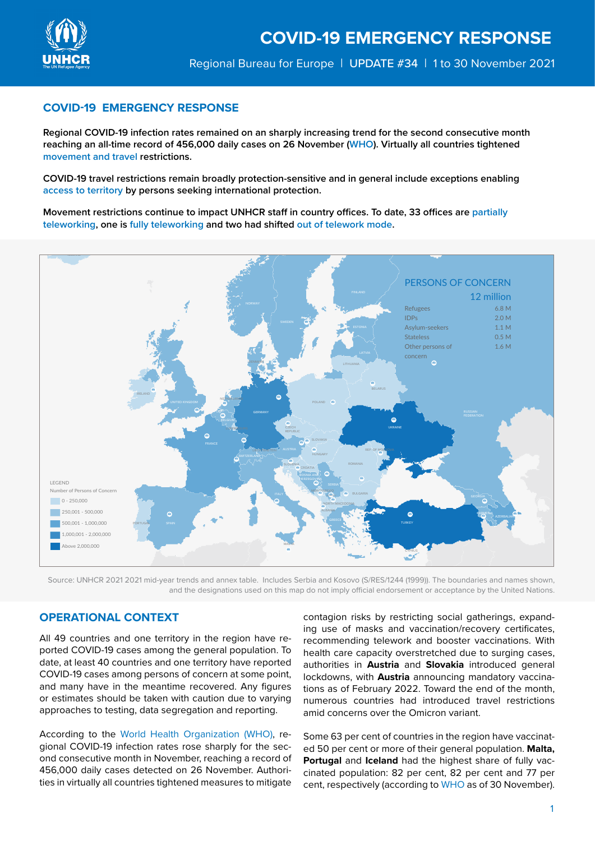

## **COVID-19 EMERGENCY RESPONSE**

**Regional COVID-19 infection rates remained on an sharply increasing trend for the second consecutive month reaching an all-time record of 456,000 daily cases on 26 November (WHO). Virtually all countries tightened movement and travel restrictions.** 

**COVID-19 travel restrictions remain broadly protection-sensitive and in general include exceptions enabling access to territory by persons seeking international protection.**

**Movement restrictions continue to impact UNHCR staff in country offices. To date, 33 offices are partially teleworking, one is fully teleworking and two had shifted out of telework mode.**



Source: UNHCR 2021 2021 [mid-year trends](https://www.unhcr.org/mid-year-trends) and annex table. Includes Serbia and Kosovo (S/RES/1244 (1999)). The boundaries and names shown, and the designations used on this map do not imply official endorsement or acceptance by the United Nations.

## **OPERATIONAL CONTEXT**

All 49 countries and one territory in the region have reported COVID-19 cases among the general population. To date, at least 40 countries and one territory have reported COVID-19 cases among persons of concern at some point, and many have in the meantime recovered. Any figures or estimates should be taken with caution due to varying approaches to testing, data segregation and reporting.

According to the World Health Organization (WHO), regional COVID-19 infection rates rose sharply for the second consecutive month in November, reaching a record of 456,000 daily cases detected on 26 November. Authorities in virtually all countries tightened measures to mitigate

contagion risks by restricting social gatherings, expanding use of masks and vaccination/recovery certificates, recommending telework and booster vaccinations. With health care capacity overstretched due to surging cases, authorities in **Austria** and **Slovakia** introduced general lockdowns, with **Austria** announcing mandatory vaccinations as of February 2022. Toward the end of the month, numerous countries had introduced travel restrictions amid concerns over the Omicron variant.

Some 63 per cent of countries in the region have vaccinated 50 per cent or more of their general population. **Malta, Portugal** and **Iceland** had the highest share of fully vaccinated population: 82 per cent, 82 per cent and 77 per cent, respectively (according to WHO as of 30 November).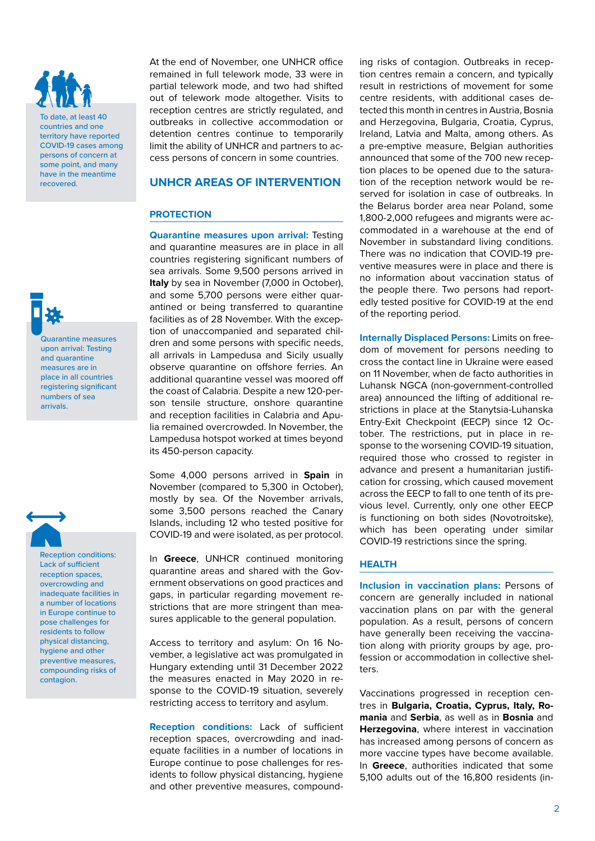

To date, at least 40 countries and one territory have reported COVID-19 cases among persons of concern at some point, and many have in the meantime recovered.

Quarantine measures upon arrival: Testing and quarantine measures are in place in all countries registering significant numbers of sea



arrivals.

Reception conditions: Lack of sufficient reception spaces, overcrowding and inadequate facilities in a number of locations in Europe continue to pose challenges for residents to follow physical distancing, hygiene and other preventive measures, compounding risks of contagion.

At the end of November, one UNHCR office remained in full telework mode, 33 were in partial telework mode, and two had shifted out of telework mode altogether. Visits to reception centres are strictly regulated, and outbreaks in collective accommodation or detention centres continue to temporarily limit the ability of UNHCR and partners to access persons of concern in some countries.

## **UNHCR AREAS OF INTERVENTION**

## **PROTECTION**

**Quarantine measures upon arrival:** Testing and quarantine measures are in place in all countries registering significant numbers of sea arrivals. Some 9,500 persons arrived in **Italy** by sea in November (7,000 in October), and some 5,700 persons were either quarantined or being transferred to quarantine facilities as of 28 November. With the exception of unaccompanied and separated children and some persons with specific needs, all arrivals in Lampedusa and Sicily usually observe quarantine on offshore ferries. An additional quarantine vessel was moored off the coast of Calabria. Despite a new 120-person tensile structure, onshore quarantine and reception facilities in Calabria and Apulia remained overcrowded. In November, the Lampedusa hotspot worked at times beyond its 450-person capacity.

Some 4,000 persons arrived in **Spain** in November (compared to 5,300 in October), mostly by sea. Of the November arrivals, some 3,500 persons reached the Canary Islands, including 12 who tested positive for COVID-19 and were isolated, as per protocol.

In **Greece**, UNHCR continued monitoring quarantine areas and shared with the Government observations on good practices and gaps, in particular regarding movement restrictions that are more stringent than measures applicable to the general population.

Access to territory and asylum: On 16 November, a legislative act was promulgated in Hungary extending until 31 December 2022 the measures enacted in May 2020 in response to the COVID-19 situation, severely restricting access to territory and asylum.

**Reception conditions:** Lack of sufficient reception spaces, overcrowding and inadequate facilities in a number of locations in Europe continue to pose challenges for residents to follow physical distancing, hygiene and other preventive measures, compound-

ing risks of contagion. Outbreaks in reception centres remain a concern, and typically result in restrictions of movement for some centre residents, with additional cases detected this month in centres in Austria, Bosnia and Herzegovina, Bulgaria, Croatia, Cyprus, Ireland, Latvia and Malta, among others. As a pre-emptive measure, Belgian authorities announced that some of the 700 new reception places to be opened due to the saturation of the reception network would be reserved for isolation in case of outbreaks. In the Belarus border area near Poland, some 1,800-2,000 refugees and migrants were accommodated in a warehouse at the end of November in substandard living conditions. There was no indication that COVID-19 preventive measures were in place and there is no information about vaccination status of the people there. Two persons had reportedly tested positive for COVID-19 at the end of the reporting period.

**Internally Displaced Persons:** Limits on freedom of movement for persons needing to cross the contact line in Ukraine were eased on 11 November, when de facto authorities in Luhansk NGCA (non-government-controlled area) announced the lifting of additional restrictions in place at the Stanytsia-Luhanska Entry-Exit Checkpoint (EECP) since 12 October. The restrictions, put in place in response to the worsening COVID-19 situation, required those who crossed to register in advance and present a humanitarian justification for crossing, which caused movement across the EECP to fall to one tenth of its previous level. Currently, only one other EECP is functioning on both sides (Novotroitske), which has been operating under similar COVID-19 restrictions since the spring.

## **HEALTH**

**Inclusion in vaccination plans:** Persons of concern are generally included in national vaccination plans on par with the general population. As a result, persons of concern have generally been receiving the vaccination along with priority groups by age, profession or accommodation in collective shelters.

Vaccinations progressed in reception centres in **Bulgaria, Croatia, Cyprus, Italy, Romania** and **Serbia**, as well as in **Bosnia** and **Herzegovina**, where interest in vaccination has increased among persons of concern as more vaccine types have become available. In **Greece**, authorities indicated that some 5,100 adults out of the 16,800 residents (in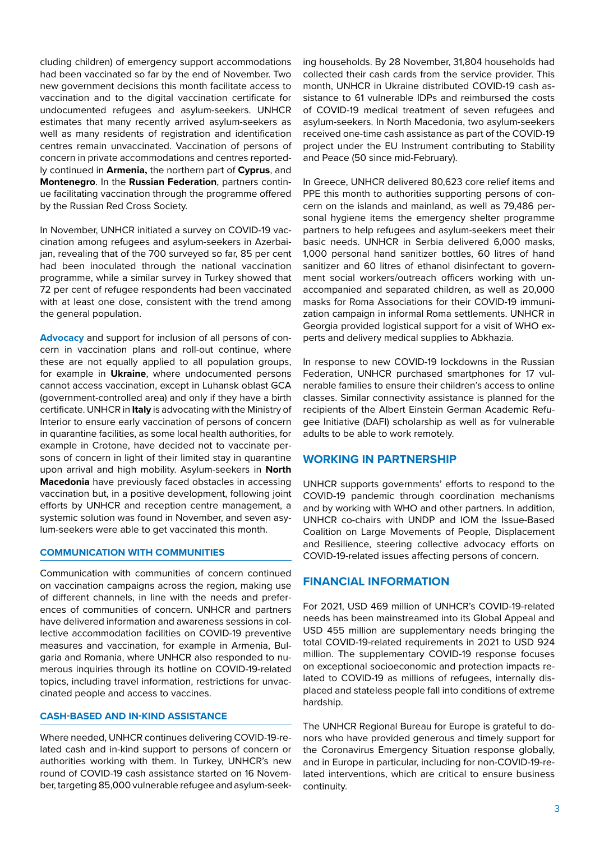cluding children) of emergency support accommodations had been vaccinated so far by the end of November. Two new government decisions this month facilitate access to vaccination and to the digital vaccination certificate for undocumented refugees and asylum-seekers. UNHCR estimates that many recently arrived asylum-seekers as well as many residents of registration and identification centres remain unvaccinated. Vaccination of persons of concern in private accommodations and centres reportedly continued in **Armenia,** the northern part of **Cyprus**, and **Montenegro**. In the **Russian Federation**, partners continue facilitating vaccination through the programme offered by the Russian Red Cross Society.

In November, UNHCR initiated a survey on COVID-19 vaccination among refugees and asylum-seekers in Azerbaijan, revealing that of the 700 surveyed so far, 85 per cent had been inoculated through the national vaccination programme, while a similar survey in Turkey showed that 72 per cent of refugee respondents had been vaccinated with at least one dose, consistent with the trend among the general population.

**Advocacy** and support for inclusion of all persons of concern in vaccination plans and roll-out continue, where these are not equally applied to all population groups, for example in **Ukraine**, where undocumented persons cannot access vaccination, except in Luhansk oblast GCA (government-controlled area) and only if they have a birth certificate. UNHCR in **Italy** is advocating with the Ministry of Interior to ensure early vaccination of persons of concern in quarantine facilities, as some local health authorities, for example in Crotone, have decided not to vaccinate persons of concern in light of their limited stay in quarantine upon arrival and high mobility. Asylum-seekers in **North Macedonia** have previously faced obstacles in accessing vaccination but, in a positive development, following joint efforts by UNHCR and reception centre management, a systemic solution was found in November, and seven asylum-seekers were able to get vaccinated this month.

## **COMMUNICATION WITH COMMUNITIES**

Communication with communities of concern continued on vaccination campaigns across the region, making use of different channels, in line with the needs and preferences of communities of concern. UNHCR and partners have delivered information and awareness sessions in collective accommodation facilities on COVID-19 preventive measures and vaccination, for example in Armenia, Bulgaria and Romania, where UNHCR also responded to numerous inquiries through its hotline on COVID-19-related topics, including travel information, restrictions for unvaccinated people and access to vaccines.

#### **CASH-BASED AND IN-KIND ASSISTANCE**

Where needed, UNHCR continues delivering COVID-19-related cash and in-kind support to persons of concern or authorities working with them. In Turkey, UNHCR's new round of COVID-19 cash assistance started on 16 November, targeting 85,000 vulnerable refugee and asylum-seeking households. By 28 November, 31,804 households had collected their cash cards from the service provider. This month, UNHCR in Ukraine distributed COVID-19 cash assistance to 61 vulnerable IDPs and reimbursed the costs of COVID-19 medical treatment of seven refugees and asylum-seekers. In North Macedonia, two asylum-seekers received one-time cash assistance as part of the COVID-19 project under the EU Instrument contributing to Stability and Peace (50 since mid-February).

In Greece, UNHCR delivered 80,623 core relief items and PPE this month to authorities supporting persons of concern on the islands and mainland, as well as 79,486 personal hygiene items the emergency shelter programme partners to help refugees and asylum-seekers meet their basic needs. UNHCR in Serbia delivered 6,000 masks, 1,000 personal hand sanitizer bottles, 60 litres of hand sanitizer and 60 litres of ethanol disinfectant to government social workers/outreach officers working with unaccompanied and separated children, as well as 20,000 masks for Roma Associations for their COVID-19 immunization campaign in informal Roma settlements. UNHCR in Georgia provided logistical support for a visit of WHO experts and delivery medical supplies to Abkhazia.

In response to new COVID-19 lockdowns in the Russian Federation, UNHCR purchased smartphones for 17 vulnerable families to ensure their children's access to online classes. Similar connectivity assistance is planned for the recipients of the Albert Einstein German Academic Refugee Initiative (DAFI) scholarship as well as for vulnerable adults to be able to work remotely.

#### **WORKING IN PARTNERSHIP**

UNHCR supports governments' efforts to respond to the COVID-19 pandemic through coordination mechanisms and by working with WHO and other partners. In addition, UNHCR co-chairs with UNDP and IOM the Issue-Based Coalition on Large Movements of People, Displacement and Resilience, steering collective advocacy efforts on COVID-19-related issues affecting persons of concern.

## **FINANCIAL INFORMATION**

For 2021, USD 469 million of UNHCR's COVID-19-related needs has been mainstreamed into its Global Appeal and USD 455 million are supplementary needs bringing the total COVID-19-related requirements in 2021 to USD 924 million. The supplementary COVID-19 response focuses on exceptional socioeconomic and protection impacts related to COVID-19 as millions of refugees, internally displaced and stateless people fall into conditions of extreme hardship.

The UNHCR Regional Bureau for Europe is grateful to donors who have provided generous and timely support for the Coronavirus Emergency Situation response globally, and in Europe in particular, including for non-COVID-19-related interventions, which are critical to ensure business continuity.